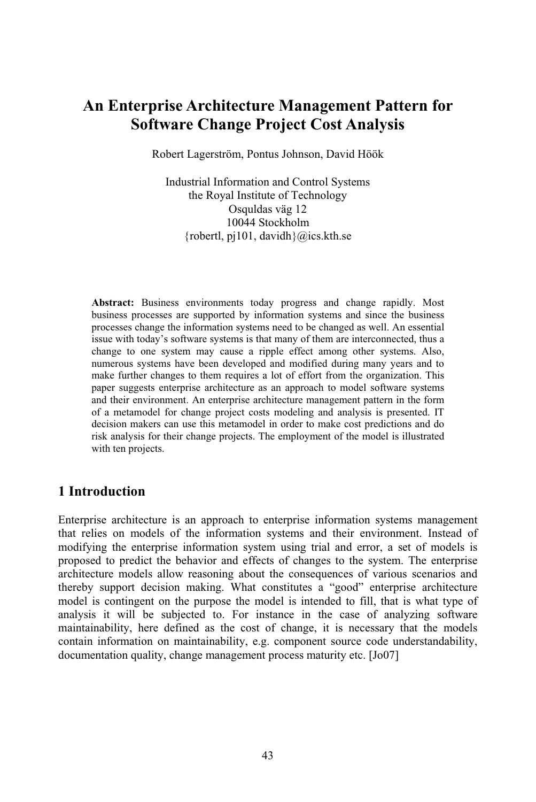# **An Enterprise Architecture Management Pattern for Software Change Project Cost Analysis**

Robert Lagerström, Pontus Johnson, David Höök

Industrial Information and Control Systems the Royal Institute of Technology Osquldas väg 12 10044 Stockholm {robertl,  $pi101$ , davidh}@ics.kth.se

**Abstract:** Business environments today progress and change rapidly. Most business processes are supported by information systems and since the business processes change the information systems need to be changed as well. An essential issue with today's software systems is that many of them are interconnected, thus a change to one system may cause a ripple effect among other systems. Also, numerous systems have been developed and modified during many years and to make further changes to them requires a lot of effort from the organization. This paper suggests enterprise architecture as an approach to model software systems and their environment. An enterprise architecture management pattern in the form of a metamodel for change project costs modeling and analysis is presented. IT decision makers can use this metamodel in order to make cost predictions and do risk analysis for their change projects. The employment of the model is illustrated with ten projects.

### **1 Introduction**

Enterprise architecture is an approach to enterprise information systems management that relies on models of the information systems and their environment. Instead of modifying the enterprise information system using trial and error, a set of models is proposed to predict the behavior and effects of changes to the system. The enterprise architecture models allow reasoning about the consequences of various scenarios and thereby support decision making. What constitutes a "good" enterprise architecture model is contingent on the purpose the model is intended to fill, that is what type of analysis it will be subjected to. For instance in the case of analyzing software maintainability, here defined as the cost of change, it is necessary that the models contain information on maintainability, e.g. component source code understandability, documentation quality, change management process maturity etc. [Jo07]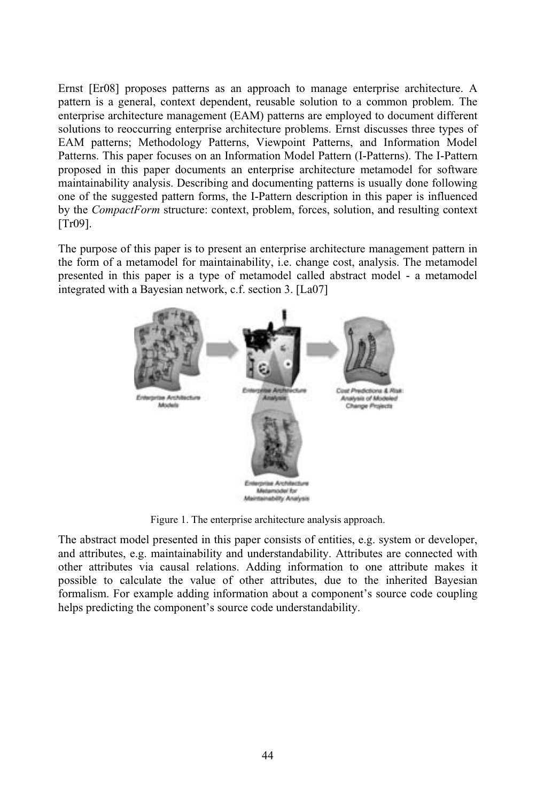Ernst [Er08] proposes patterns as an approach to manage enterprise architecture. A pattern is a general, context dependent, reusable solution to a common problem. The enterprise architecture management (EAM) patterns are employed to document different solutions to reoccurring enterprise architecture problems. Ernst discusses three types of EAM patterns; Methodology Patterns, Viewpoint Patterns, and Information Model Patterns. This paper focuses on an Information Model Pattern (I-Patterns). The I-Pattern proposed in this paper documents an enterprise architecture metamodel for software maintainability analysis. Describing and documenting patterns is usually done following one of the suggested pattern forms, the I-Pattern description in this paper is influenced by the *CompactForm* structure: context, problem, forces, solution, and resulting context [Tr09].

The purpose of this paper is to present an enterprise architecture management pattern in the form of a metamodel for maintainability, i.e. change cost, analysis. The metamodel presented in this paper is a type of metamodel called abstract model-ametamodel integrated with a Bayesian network, c.f. section 3. [La07]



Figure 1. The enterprise architecture analysis approach.

The abstract model presented in this paper consists of entities, e.g. system or developer, and attributes, e.g. maintainability and understandability. Attributes are connected with other attributes via causal relations. Adding information to one attribute makes it possible to calculate the value of other attributes, due to the inherited Bayesian formalism. For example adding information about a component's source code coupling helps predicting the component's source code understandability.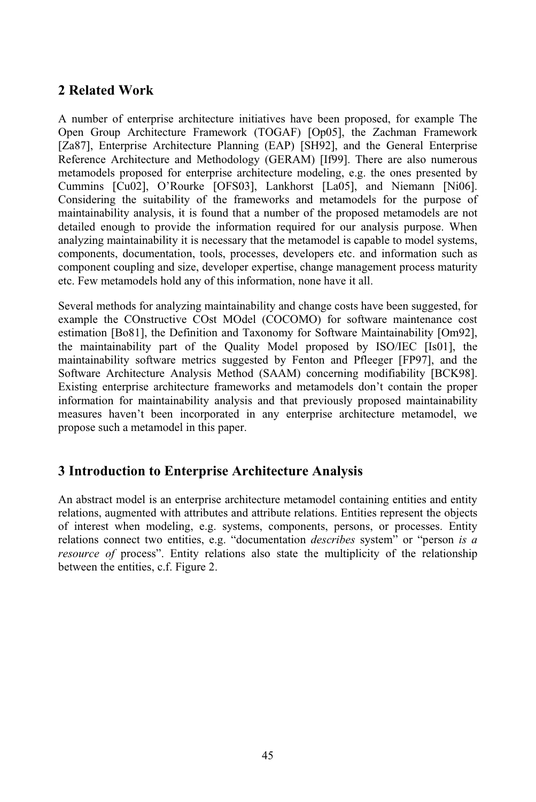## **2 Related Work**

A number of enterprise architecture initiatives have been proposed, for example The Open Group Architecture Framework (TOGAF) [Op05], the Zachman Framework [Za87], Enterprise Architecture Planning (EAP) [SH92], and the General Enterprise Reference Architecture and Methodology (GERAM) [If99]. There are also numerous metamodels proposed for enterprise architecture modeling, e.g. the ones presented by Cummins [Cu02], O'Rourke [OFS03], Lankhorst [La05], and Niemann [Ni06]. Considering the suitability of the frameworks and metamodels for the purpose of maintainability analysis, it is found that a number of the proposed metamodels are not detailed enough to provide the information required for our analysis purpose. When analyzing maintainability it is necessary that the metamodel is capable to model systems, components, documentation, tools, processes, developers etc. and information such as component coupling and size, developer expertise, change management process maturity etc. Few metamodels hold any of this information, none have it all.

Several methods for analyzing maintainability and change costs have been suggested, for example the COnstructive COst MOdel (COCOMO) for software maintenance cost estimation [Bo81], the Definition and Taxonomy for Software Maintainability [Om92], the maintainability part of the Quality Model proposed by ISO/IEC [Is01], the maintainability software metrics suggested by Fenton and Pfleeger [FP97], and the Software Architecture Analysis Method (SAAM) concerning modifiability [BCK98]. Existing enterprise architecture frameworks and metamodels don't contain the proper information for maintainability analysis and that previously proposed maintainability measures haven't been incorporated in any enterprise architecture metamodel, we propose such a metamodel in this paper.

### **3 Introduction to Enterprise Architecture Analysis**

An abstract model is an enterprise architecture metamodel containing entities and entity relations, augmented with attributes and attribute relations. Entities represent the objects of interest when modeling, e.g. systems, components, persons, or processes. Entity relations connect two entities, e.g. "documentation *describes* system" or "person *is a resource of* process". Entity relations also state the multiplicity of the relationship between the entities, c.f. Figure 2.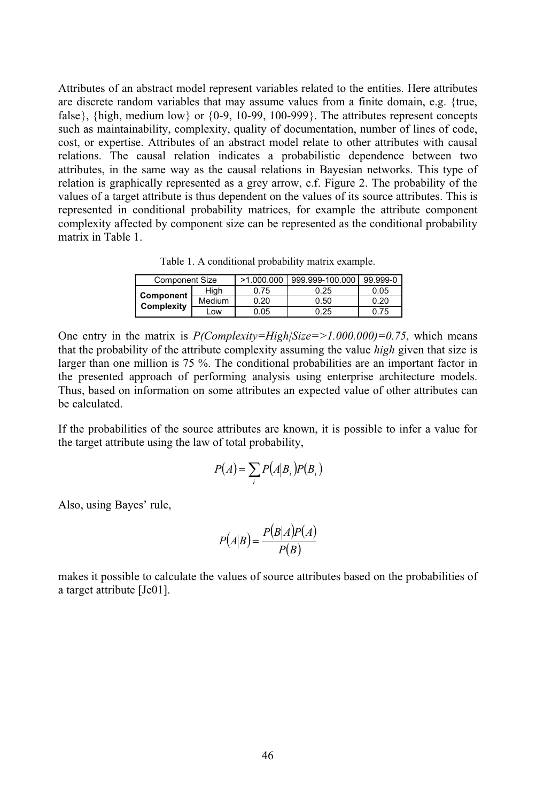Attributes of an abstract model represent variables related to the entities. Here attributes are discrete random variables that may assume values from a finite domain, e.g. {true, false}, {high, medium low} or  $\{0-9, 10-99, 100-999\}$ . The attributes represent concepts such as maintainability, complexity, quality of documentation, number of lines of code, cost, or expertise. Attributes of an abstract model relate to other attributes with causal relations. The causal relation indicates a probabilistic dependence between two attributes, in the same way as the causal relations in Bayesian networks. This type of relation is graphically represented as a grey arrow, c.f. Figure 2. The probability of the values of a target attribute is thus dependent on the values of its source attributes. This is represented in conditional probability matrices, for example the attribute component complexity affected by component size can be represented as the conditional probability matrix in Table 1.

Table 1. A conditional probability matrix example.

| <b>Component Size</b>   |        | >1.000.000 | 999.999-100.000 | 99.999-0 |
|-------------------------|--------|------------|-----------------|----------|
| Component<br>Complexity | Hiah   | 0.75       | 0.25            | 0.05     |
|                         | Medium | 0.20       | 0.50            | 0.20     |
|                         | -ow    | 0.05       | 0.25            | 0.75     |

One entry in the matrix is *P(Complexity=High|Size=>1.000.000)=0.75*, which means that the probability of the attribute complexity assuming the value *high* given that size is larger than one million is 75 %. The conditional probabilities are an important factor in the presented approach of performing analysis using enterprise architecture models. Thus, based on information on some attributes an expected value of other attributes can be calculated.

If the probabilities of the source attributes are known, it is possible to infer a value for the target attribute using the law of total probability,

$$
P(A) = \sum_{i} P(A|B_i) P(B_i)
$$

Also, using Bayes' rule,

$$
P(A|B) = \frac{P(B|A)P(A)}{P(B)}
$$

makes it possible to calculate the values of source attributes based on the probabilities of a target attribute [Je01].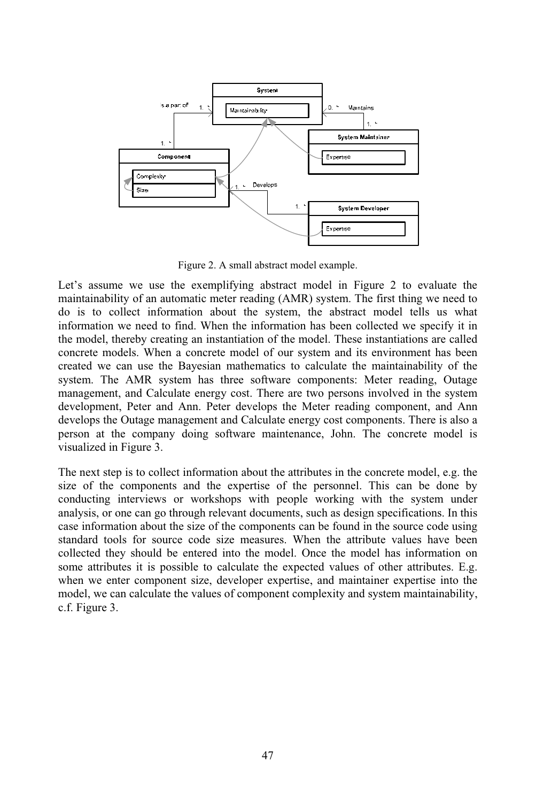

Figure 2. A small abstract model example.

Let's assume we use the exemplifying abstract model in Figure 2 to evaluate the maintainability of an automatic meter reading (AMR) system. The first thing we need to do is to collect information about the system, the abstract model tells us what information we need to find. When the information has been collected we specify it in the model, thereby creating an instantiation of the model. These instantiations are called concrete models. When a concrete model of our system and its environment has been created we can use the Bayesian mathematics to calculate the maintainability of the system. The AMR system has three software components: Meter reading, Outage management, and Calculate energy cost. There are two persons involved in the system development, Peter and Ann. Peter develops the Meter reading component, and Ann develops the Outage management and Calculate energy cost components. There is also a person at the company doing software maintenance, John. The concrete model is visualized in Figure 3.

The next step is to collect information about the attributes in the concrete model, e.g. the size of the components and the expertise of the personnel. This can be done by conducting interviews or workshops with people working with the system under analysis, or one can go through relevant documents, such as design specifications. In this case information about the size of the components can be found in the source code using standard tools for source code size measures. When the attribute values have been collected they should be entered into the model. Once the model has information on some attributes it is possible to calculate the expected values of other attributes. E.g. when we enter component size, developer expertise, and maintainer expertise into the model, we can calculate the values of component complexity and system maintainability, c.f. Figure 3.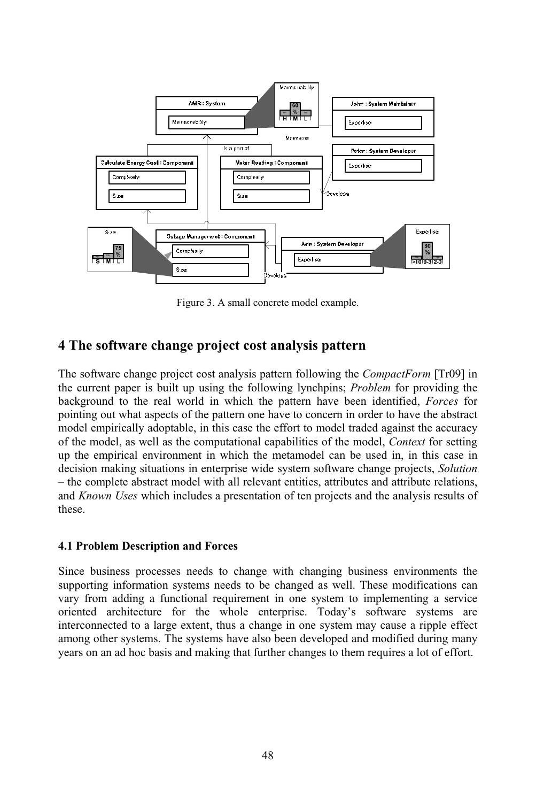

Figure 3. A small concrete model example.

### **4 The software change project cost analysis pattern**

The software change project cost analysis pattern following the *CompactForm* [Tr09] in the current paper is built up using the following lynchpins; *Problem* for providing the background to the real world in which the pattern have been identified, *Forces* for pointing out what aspects of the pattern one have to concern in order to have the abstract model empirically adoptable, in this case the effort to model traded against the accuracy of the model, as well as the computational capabilities of the model, *Context* for setting up the empirical environment in which the metamodel can be used in, in this case in decision making situations in enterprise wide system software change projects, *Solution* – the complete abstract model with all relevant entities, attributes and attribute relations, and *Known Uses* which includes a presentation of ten projects and the analysis results of these.

#### **4.1 Problem Description and Forces**

Since business processes needs to change with changing business environments the supporting information systems needs to be changed as well. These modifications can vary from adding a functional requirement in one system to implementing a service oriented architecture for the whole enterprise. Today's software systems are interconnected to a large extent, thus a change in one system may cause a ripple effect among other systems. The systems have also been developed and modified during many years on an ad hoc basis and making that further changes to them requires a lot of effort.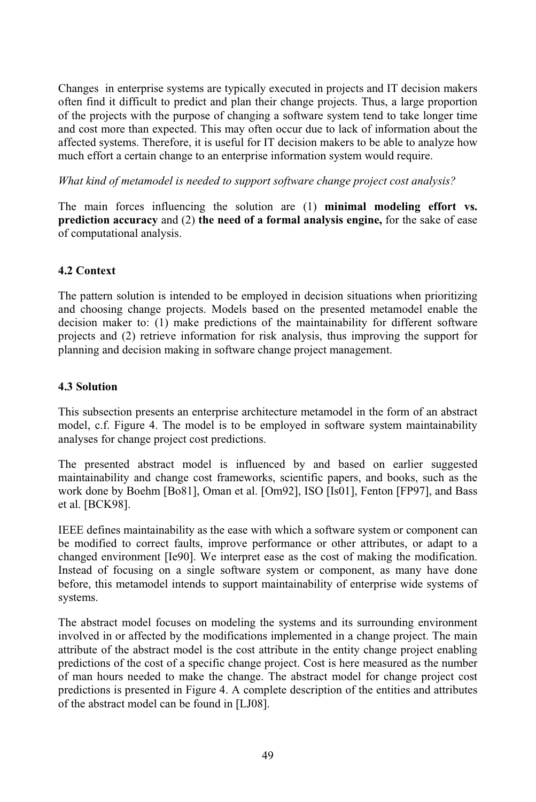Changes in enterprise systems are typically executed in projects and IT decision makers often find it difficult to predict and plan their change projects. Thus, a large proportion of the projects with the purpose of changing a software system tend to take longer time and cost more than expected. This may often occur due to lack of information about the affected systems. Therefore, it is useful for IT decision makers to be able to analyze how much effort a certain change to an enterprise information system would require.

*What kind of metamodel is needed to support software change project cost analysis?*

The main forces influencing the solution are (1) **minimal modeling effort vs. prediction accuracy** and (2) **the need of a formal analysis engine,** for the sake of ease of computational analysis.

#### **4.2 Context**

The pattern solution is intended to be employed in decision situations when prioritizing and choosing change projects. Models based on the presented metamodel enable the decision maker to: (1) make predictions of the maintainability for different software projects and (2) retrieve information for risk analysis, thus improving the support for planning and decision making in software change project management.

#### **4.3 Solution**

This subsection presents an enterprise architecture metamodel in the form of an abstract model, c.f. Figure 4. The model is to be employed in software system maintainability analyses for change project cost predictions.

The presented abstract model is influenced by and based on earlier suggested maintainability and change cost frameworks, scientific papers, and books, such as the work done by Boehm [Bo81], Oman et al. [Om92], ISO [Is01], Fenton [FP97], and Bass et al. [BCK98].

IEEE defines maintainability as the ease with which a software system or component can be modified to correct faults, improve performance or other attributes, or adapt to a changed environment [Ie90]. We interpret ease as the cost of making the modification. Instead of focusing on a single software system or component, as many have done before, this metamodel intends to support maintainability of enterprise wide systems of systems.

The abstract model focuses on modeling the systems and its surrounding environment involved in or affected by the modifications implemented in a change project. The main attribute of the abstract model is the cost attribute in the entity change project enabling predictions of the cost of a specific change project. Cost is here measured as the number of man hours needed to make the change. The abstract model for change project cost predictions is presented in Figure 4. A complete description of the entities and attributes of the abstract model can be found in [LJ08].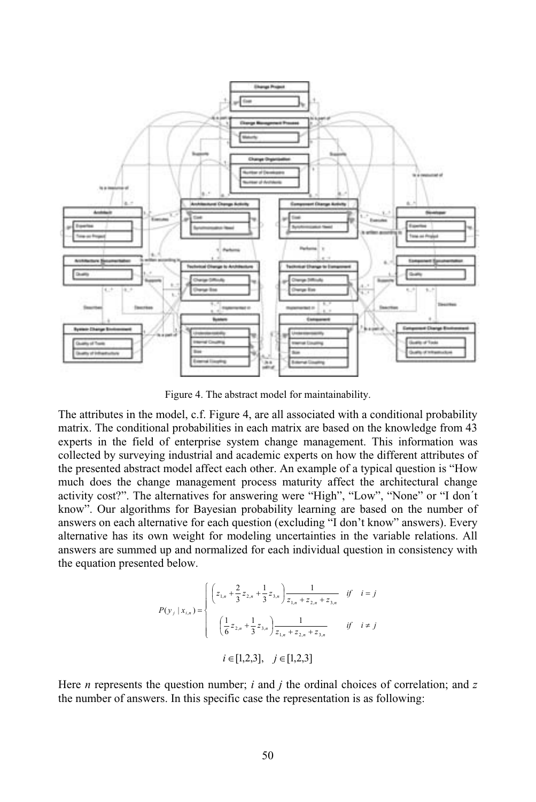

Figure 4. The abstract model for maintainability.

The attributes in the model, c.f. Figure 4, are all associated with a conditional probability matrix. The conditional probabilities in each matrix are based on the knowledge from 43 experts in the field of enterprise system change management. This information was collected by surveying industrial and academic experts on how the different attributes of the presented abstract model affect each other. An example of a typical question is "How much does the change management process maturity affect the architectural change activity cost?". The alternatives for answering were "High", "Low", "None" or "I don´t know". Our algorithms for Bayesian probability learning are based on the number of answers on each alternative for each question (excluding "I don't know" answers). Every alternative has its own weight for modeling uncertainties in the variable relations. All answers are summed up and normalized for each individual question in consistency with the equation presented below.

$$
P(y_j | x_{i,n}) = \begin{cases} \left( z_{1,n} + \frac{2}{3} z_{2,n} + \frac{1}{3} z_{3,n} \right) \frac{1}{z_{1,n} + z_{2,n} + z_{3,n}} & \text{if } i = j \\ \left( \frac{1}{6} z_{2,n} + \frac{1}{3} z_{3,n} \right) \frac{1}{z_{1,n} + z_{2,n} + z_{3,n}} & \text{if } i \neq j \end{cases}
$$
\n
$$
i \in [1,2,3], \quad j \in [1,2,3]
$$

Here *n* represents the question number; *i* and *j* the ordinal choices of correlation; and *z* the number of answers. In this specific case the representation is as following: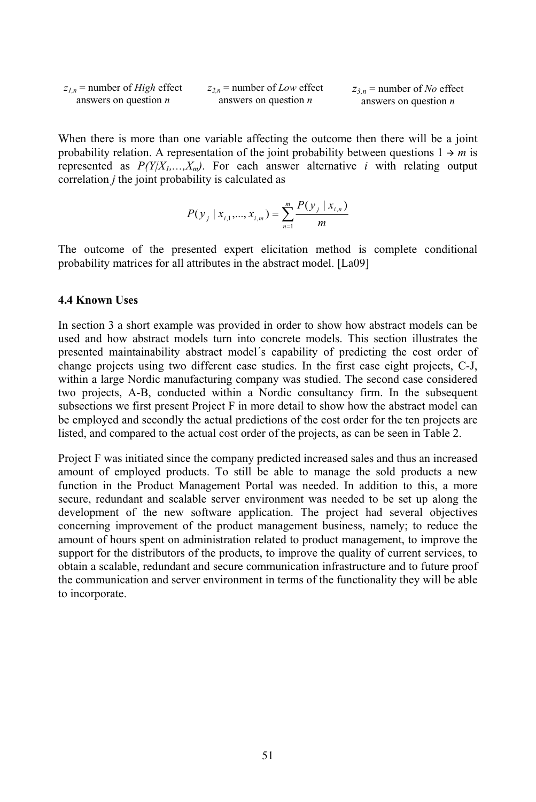$$
z_{l,n}
$$
 = number of *High* effect  
answers on question *n* answers on question *n*

When there is more than one variable affecting the outcome then there will be a joint probability relation. A representation of the joint probability between questions  $1 \rightarrow m$  is represented as  $P(Y|X_1,...,X_m)$ . For each answer alternative *i* with relating output correlation *j* the joint probability is calculated as

$$
P(y_j | x_{i,1},..., x_{i,m}) = \sum_{n=1}^{m} \frac{P(y_j | x_{i,n})}{m}
$$

The outcome of the presented expert elicitation method is complete conditional probability matrices for all attributes in the abstract model. [La09]

#### **4.4 Known Uses**

In section 3 a short example was provided in order to show how abstract models can be used and how abstract models turn into concrete models. This section illustrates the presented maintainability abstract model´s capability of predicting the cost order of change projects using two different case studies. In the first case eight projects, C-J, within a large Nordic manufacturing company was studied. The second case considered two projects, A-B, conducted within a Nordic consultancy firm. In the subsequent subsections we first present Project F in more detail to show how the abstract model can be employed and secondly the actual predictions of the cost order for the ten projects are listed, and compared to the actual cost order of the projects, as can be seen in Table 2.

Project F was initiated since the company predicted increased sales and thus an increased amount of employed products. To still be able to manage the sold products a new function in the Product Management Portal was needed. In addition to this, a more secure, redundant and scalable server environment was needed to be set up along the development of the new software application. The project had several objectives concerning improvement of the product management business, namely; to reduce the amount of hours spent on administration related to product management, to improve the support for the distributors of the products, to improve the quality of current services, to obtainascalable, redundant and secure communication infrastructure and to future proof the communication and server environment in terms of the functionality they will be able to incorporate.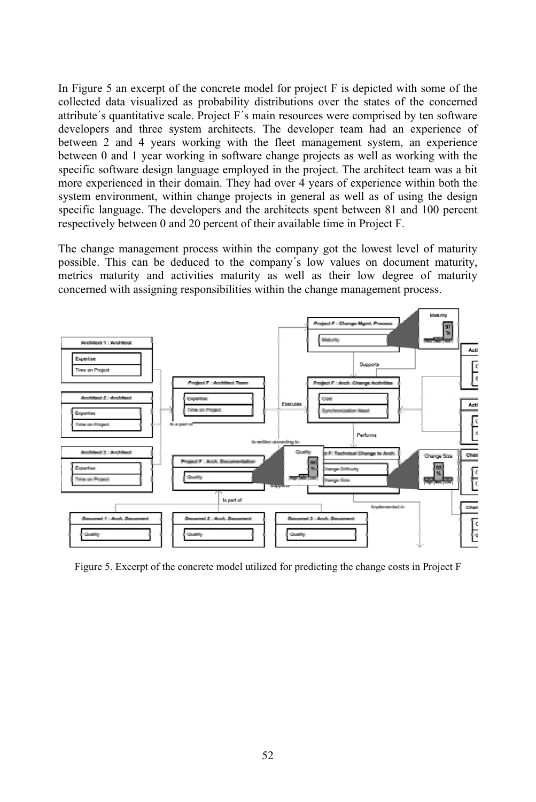In Figure 5 an excerpt of the concrete model for project F is depicted with some of the collected data visualized as probability distributions over the states of the concerned attribute´s quantitative scale. Project F´s main resources were comprised by ten software developers and three system architects. The developer team had an experience of between 2 and 4 years working with the fleet management system, an experience between  $\theta$  and  $\theta$  year working in software change projects as well as working with the specific software design language employed in the project. The architect team was a bit more experienced in their domain. They had over 4 years of experience within both the system environment, within change projects in general as well as of using the design specific language. The developers and the architects spent between 81 and 100 percent respectively between 0 and 20 percent of their available time in Project F.

The change management process within the company got the lowest level of maturity possible. This can be deduced to the company´s low values on document maturity, metrics maturity and activities maturity as well as their low degree of maturity concerned with assigning responsibilities within the change management process.



Figure 5. Excerpt of the concrete model utilized for predicting the change costs in Project F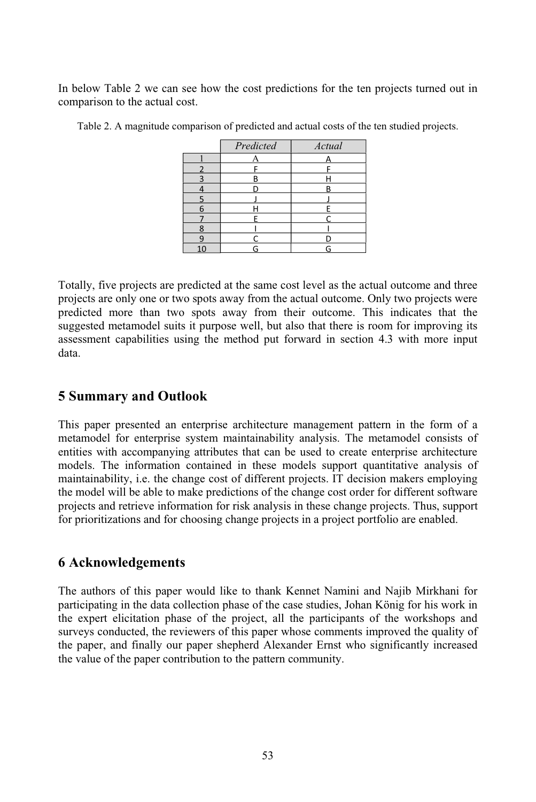In below Table 2 we can see how the cost predictions for the ten projects turned out in comparison to the actual cost.

|   | Predicted | Actual |
|---|-----------|--------|
|   |           |        |
|   |           |        |
|   | R         |        |
|   |           |        |
|   |           |        |
| 6 |           |        |
|   |           |        |
| 8 |           |        |
|   |           |        |
|   |           |        |

Table 2. A magnitude comparison of predicted and actual costs of the ten studied projects.

Totally, five projects are predicted at the same cost level as the actual outcome and three projects are only one or two spots away from the actual outcome. Only two projects were predicted more than two spots away from their outcome. This indicates that the suggested metamodel suits it purpose well, but also that there is room for improving its assessment capabilities using the method put forward in section 4.3 with more input data.

### **5 Summary and Outlook**

This paper presented an enterprise architecture management pattern in the form of a metamodel for enterprise system maintainability analysis. The metamodel consists of entities with accompanying attributes that can be used to create enterprise architecture models. The information contained in these models support quantitative analysis of maintainability, i.e. the change cost of different projects. IT decision makers employing the model will be able to make predictions of the change cost order for different software projects and retrieve information for risk analysis in these change projects. Thus, support for prioritizations and for choosing change projects in a project portfolio are enabled.

### **6 Acknowledgements**

The authors of this paper would like to thank Kennet Namini and Najib Mirkhani for participating in the data collection phase of the case studies, Johan König for his work in the expert elicitation phase of the project, all the participants of the workshops and surveys conducted, the reviewers of this paper whose comments improved the quality of the paper, and finally our paper shepherd Alexander Ernst who significantly increased the value of the paper contribution to the pattern community.